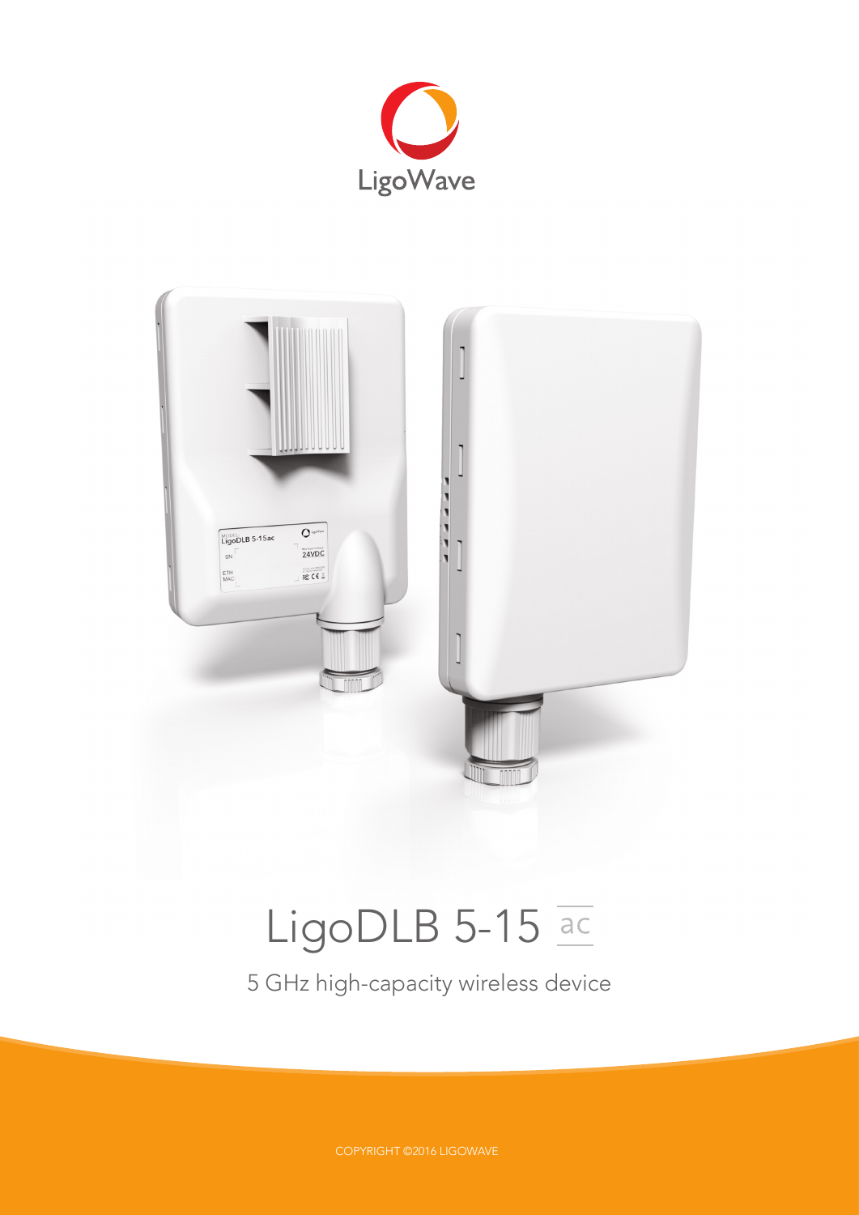



# LigoDLB 5-15 ac

5 GHz high-capacity wireless device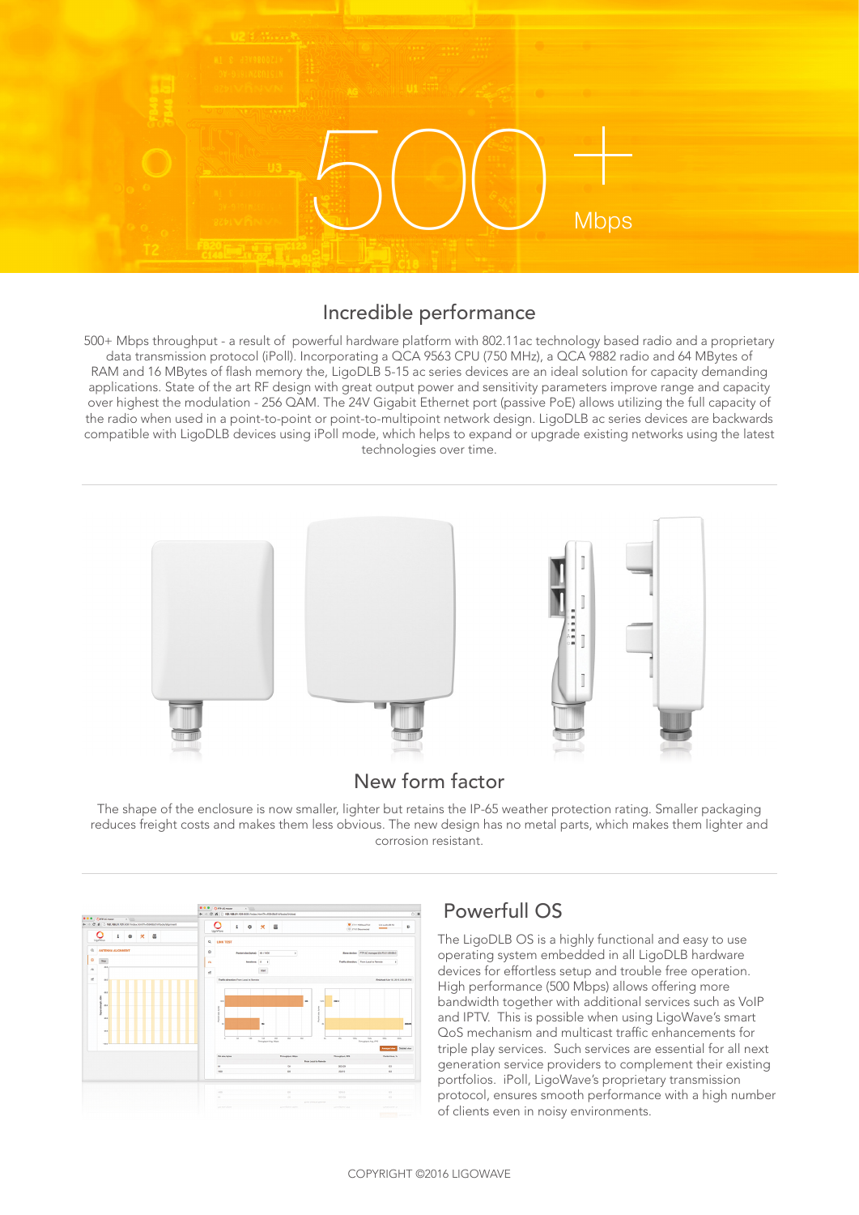

# Incredible performance

500+ Mbps throughput - a result of powerful hardware platform with 802.11ac technology based radio and a proprietary data transmission protocol (iPoll). Incorporating a QCA 9563 CPU (750 MHz), a QCA 9882 radio and 64 MBytes of RAM and 16 MBytes of flash memory the, LigoDLB 5-15 ac series devices are an ideal solution for capacity demanding applications. State of the art RF design with great output power and sensitivity parameters improve range and capacity over highest the modulation - 256 QAM. The 24V Gigabit Ethernet port (passive PoE) allows utilizing the full capacity of the radio when used in a point-to-point or point-to-multipoint network design. LigoDLB ac series devices are backwards compatible with LigoDLB devices using iPoll mode, which helps to expand or upgrade existing networks using the latest technologies over time.



# New form factor

The shape of the enclosure is now smaller, lighter but retains the IP-65 weather protection rating. Smaller packaging reduces freight costs and makes them less obvious. The new design has no metal parts, which makes them lighter and corrosion resistant.

|          | <b>000 GREADWAY</b> |   | $\times$ |                       |   |                                                                 |          |                                         |         |                               |                            | ← → C 音 □ 192.168.51.101.0001/vdsc/trrl?h=5948b514/tools/inkter |            |                      |                    |                                                                                             |                      |
|----------|---------------------|---|----------|-----------------------|---|-----------------------------------------------------------------|----------|-----------------------------------------|---------|-------------------------------|----------------------------|-----------------------------------------------------------------|------------|----------------------|--------------------|---------------------------------------------------------------------------------------------|----------------------|
|          |                     |   |          |                       |   | 4 - C 6   182.188.51.101.0001/ndex701071-050005147ools/algoment |          |                                         | i       | ۰                             | $\pmb{\times}$             | 要                                                               |            |                      |                    | <b>U</b> che stituello<br>University (56 %)<br>$\overline{\phantom{a}}$<br>(U) cho dearmond | в                    |
|          |                     | i | ۰        | $\boldsymbol{\times}$ | 圆 |                                                                 |          | LigaWave                                |         |                               |                            |                                                                 |            |                      |                    |                                                                                             |                      |
|          | LippWave            |   |          |                       |   |                                                                 | Q        | <b>LINK TEST</b>                        |         |                               |                            |                                                                 |            |                      |                    |                                                                                             |                      |
| ۹        | ANTENNA ALIGNMENT   |   |          |                       |   |                                                                 | ø        |                                         |         | Packet size (bytes): 647 1000 |                            |                                                                 | $\epsilon$ |                      |                    | Slave device: PTP AC managed (AF021081881)                                                  |                      |
| ø        | the .               |   |          |                       |   |                                                                 |          |                                         |         |                               |                            |                                                                 |            |                      |                    |                                                                                             |                      |
|          | $-00.8$             |   |          |                       |   |                                                                 | $\alpha$ |                                         |         | <b>Berations 5 0</b>          |                            |                                                                 |            |                      |                    | Traffic direction: From Local to Remote                                                     | ٠                    |
| $\alpha$ |                     |   |          |                       |   |                                                                 | st.      |                                         |         |                               | <b>Start</b>               |                                                                 |            |                      |                    |                                                                                             |                      |
| <b>H</b> | $-0.0$              |   |          |                       |   |                                                                 |          | Traffic direction: From Local to Femote |         |                               |                            |                                                                 |            |                      |                    | Finished Mar 16, 2018 2:24:23 PM                                                            |                      |
|          |                     |   |          |                       |   |                                                                 |          |                                         |         |                               |                            |                                                                 |            |                      |                    |                                                                                             |                      |
|          | $\sim$              |   |          |                       |   |                                                                 |          |                                         |         |                               |                            |                                                                 |            |                      |                    |                                                                                             |                      |
|          | s                   |   |          |                       |   |                                                                 |          |                                         |         |                               |                            |                                                                 |            |                      |                    |                                                                                             |                      |
|          | ć<br>dist.          |   |          |                       |   |                                                                 |          | 1006                                    |         |                               |                            |                                                                 | M          | says.                | <b>DRS</b>         |                                                                                             |                      |
|          |                     |   |          |                       |   |                                                                 |          |                                         |         |                               |                            |                                                                 |            |                      |                    |                                                                                             |                      |
|          |                     |   |          |                       |   |                                                                 |          | $\frac{4}{3}$                           |         |                               |                            |                                                                 |            | $\frac{5}{3}$        |                    |                                                                                             |                      |
|          | $-0.4$              |   |          |                       |   |                                                                 |          |                                         |         |                               |                            |                                                                 |            |                      |                    |                                                                                             |                      |
|          |                     |   |          |                       |   |                                                                 |          | $\sim$                                  |         |                               | sis.                       |                                                                 |            | $\sim$               |                    |                                                                                             | ases                 |
|          | $\overline{a}$      |   |          |                       |   |                                                                 |          |                                         |         |                               |                            |                                                                 |            |                      |                    |                                                                                             |                      |
|          |                     |   |          |                       |   |                                                                 |          | $\circ$                                 | $^{40}$ | $-$                           | 100                        | <b>DO</b><br>m                                                  | 300        | D.                   | <b>SOV</b><br>von  | 10N<br><b>200</b>                                                                           | 2926                 |
|          | 1984                |   |          |                       |   |                                                                 |          |                                         |         |                               | <b>Persiphon Arg. More</b> |                                                                 |            |                      |                    | <b>Throughput Aug, PPS</b>                                                                  |                      |
|          |                     |   |          |                       |   |                                                                 |          |                                         |         |                               |                            |                                                                 |            |                      |                    | who hepre                                                                                   | <b>Detailed view</b> |
|          |                     |   |          |                       |   |                                                                 |          | Pict size, bytes                        |         |                               |                            | Throughput, Miles                                               |            |                      | <b>Tymper, PPS</b> | Packet loss, %                                                                              |                      |
|          |                     |   |          |                       |   |                                                                 |          |                                         |         |                               |                            |                                                                 |            | From Local to Femore |                    |                                                                                             |                      |
|          |                     |   |          |                       |   |                                                                 |          | $\sim$                                  |         |                               |                            | 104                                                             |            |                      | 202,429            | $\bullet$                                                                                   |                      |
|          |                     |   |          |                       |   |                                                                 |          | 1800                                    |         |                               |                            | <b>SOF</b>                                                      |            |                      | 23,810             | 48                                                                                          |                      |
|          |                     |   |          |                       |   |                                                                 |          |                                         |         |                               |                            |                                                                 |            |                      |                    |                                                                                             |                      |
|          |                     |   |          |                       |   |                                                                 |          |                                         |         |                               |                            |                                                                 |            |                      |                    |                                                                                             |                      |
|          |                     |   |          |                       |   |                                                                 |          | <b>Jane</b>                             |         |                               |                            | <b>SO</b>                                                       |            |                      | 32315              | $\sim$                                                                                      |                      |
|          |                     |   |          |                       |   |                                                                 |          | $\sim$                                  |         |                               |                            | 125                                                             |            |                      | 107159             | $\sim$                                                                                      |                      |
|          |                     |   |          |                       |   |                                                                 |          | are easy plans                          |         |                               |                            | pumber sele                                                     |            | game premier general | perchant ust       | <b>LEONCOM</b> U                                                                            |                      |

# Powerfull OS

The LigoDLB OS is a highly functional and easy to use operating system embedded in all LigoDLB hardware devices for effortless setup and trouble free operation. High performance (500 Mbps) allows offering more bandwidth together with additional services such as VoIP and IPTV. This is possible when using LigoWave's smart QoS mechanism and multicast traffic enhancements for triple play services. Such services are essential for all next generation service providers to complement their existing portfolios. iPoll, LigoWave's proprietary transmission protocol, ensures smooth performance with a high number of clients even in noisy environments.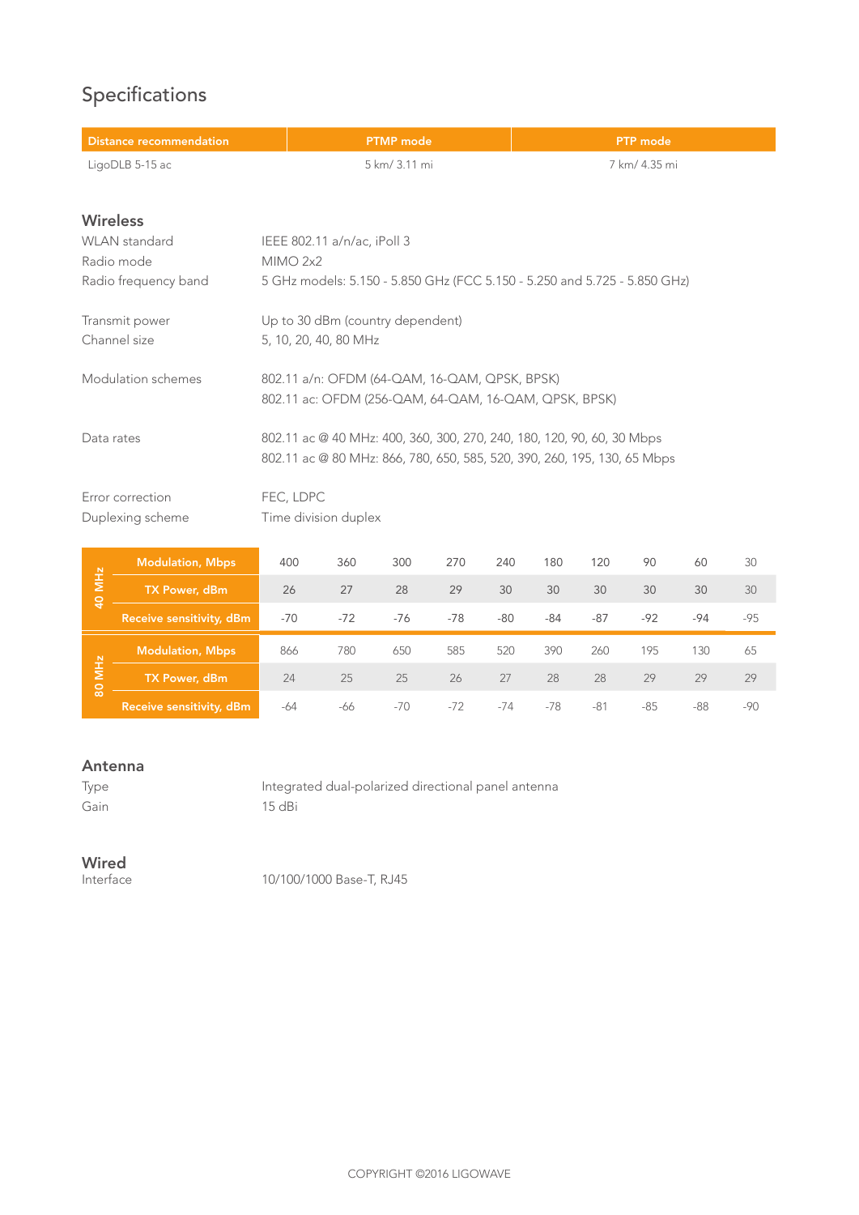# Specifications

| <b>PTMP</b> mode                                                          | <b>PTP</b> mode |
|---------------------------------------------------------------------------|-----------------|
| 5 km/ 3.11 mi                                                             | 7 km/ 4.35 mi   |
|                                                                           |                 |
|                                                                           |                 |
| IEEE 802.11 a/n/ac, iPoll 3                                               |                 |
| MIMO 2x2                                                                  |                 |
| 5 GHz models: 5.150 - 5.850 GHz (FCC 5.150 - 5.250 and 5.725 - 5.850 GHz) |                 |
| Up to 30 dBm (country dependent)                                          |                 |
| 5, 10, 20, 40, 80 MHz                                                     |                 |
| 802.11 a/n: OFDM (64-QAM, 16-QAM, QPSK, BPSK)                             |                 |
| 802.11 ac: OFDM (256-QAM, 64-QAM, 16-QAM, QPSK, BPSK)                     |                 |
| 802.11 ac @ 40 MHz: 400, 360, 300, 270, 240, 180, 120, 90, 60, 30 Mbps    |                 |
| 802.11 ac @ 80 MHz: 866, 780, 650, 585, 520, 390, 260, 195, 130, 65 Mbps  |                 |
| FEC, LDPC                                                                 |                 |
| Time division duplex                                                      |                 |
|                                                                           |                 |

|                             | Modulation, Mbps         | 400   | 360   | 300   | 270   | 240   | 180   | 120   | 90    | 60    | 30    |
|-----------------------------|--------------------------|-------|-------|-------|-------|-------|-------|-------|-------|-------|-------|
| <b>MHz</b><br>$\frac{1}{4}$ | TX Power, dBm            | 26    | 27    | 28    | 29    | 30    | 30    | 30    | 30    | 30    | 30    |
|                             | Receive sensitivity, dBm | $-70$ | $-72$ | $-76$ | $-78$ | $-80$ | -84   | $-87$ | $-92$ | $-94$ | $-95$ |
|                             | <b>Modulation, Mbps</b>  | 866   | 780   | 650   | 585   | 520   | 390   | 260   | 195   | 130   | 65    |
| <u>ж</u><br>န္တ             | TX Power, dBm            | 24    | 25    | 25    | 26    | 27    | 28    | 28    | 29    | 29    | 29    |
|                             | Receive sensitivity, dBm | -64   | -66   | $-70$ | $-72$ | $-74$ | $-78$ | $-81$ | $-85$ | $-88$ | -90   |

#### Antenna

Type Integrated dual-polarized directional panel antenna Gain 15 dBi

# **Wired**<br>Interface

10/100/1000 Base-T, RJ45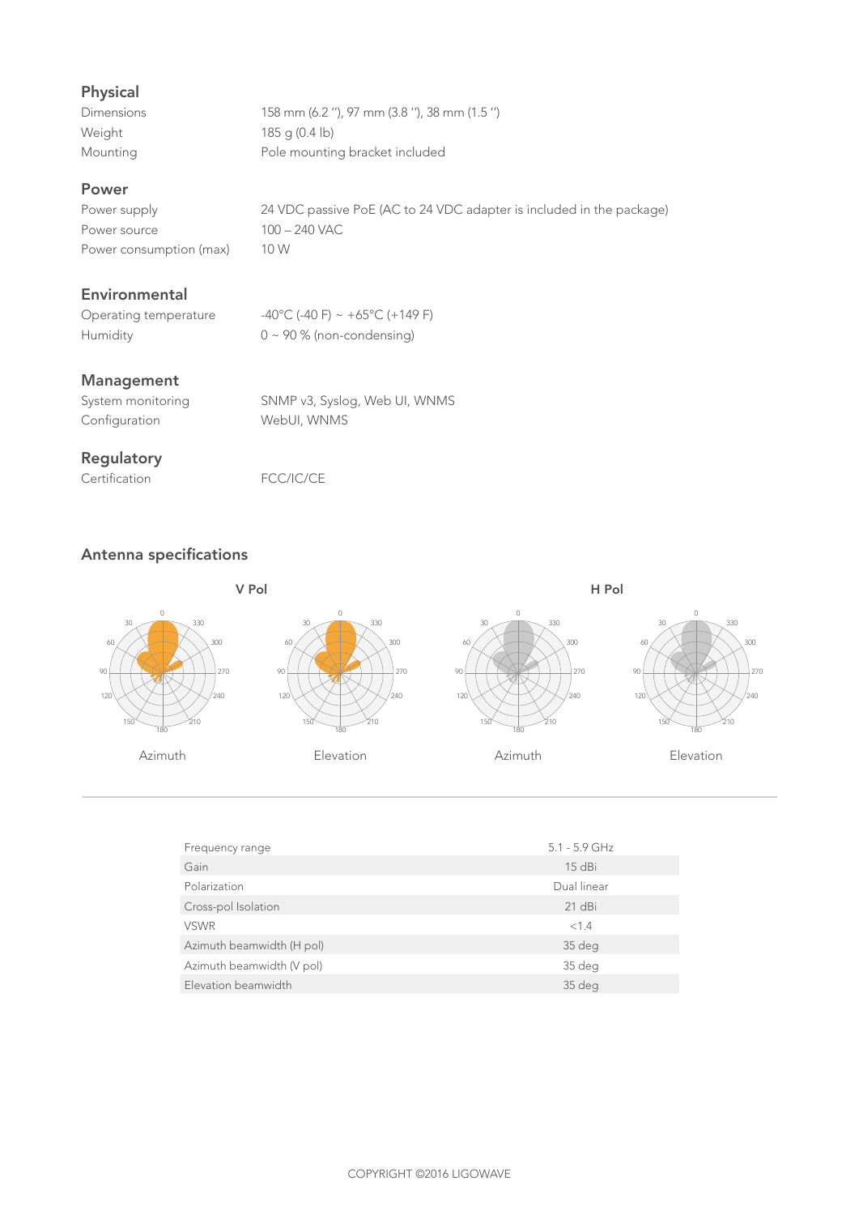# Physical

| <b>Dimensions</b> | 158 mm (6.2 "), 97 mm (3.8 "), 38 mm (1.5 ") |
|-------------------|----------------------------------------------|
| Weight            | $185$ q (0.4 lb)                             |
| Mounting          | Pole mounting bracket included               |

### Power

Power source 100 – 240 VAC Power consumption (max) 10 W

Power supply 24 VDC passive PoE (AC to 24 VDC adapter is included in the package)

## Environmental

Operating temperature  $-40^{\circ}$ C (-40 F) ~ +65 $^{\circ}$ C (+149 F) Humidity 0 ~ 90 % (non-condensing)

#### Management

| System monitoring | SNMP v3, Syslog, Web UI, WNMS |
|-------------------|-------------------------------|
| Configuration     | WebUI, WNMS                   |

## Regulatory

Certification FCC/IC/CE

# Antenna specifications